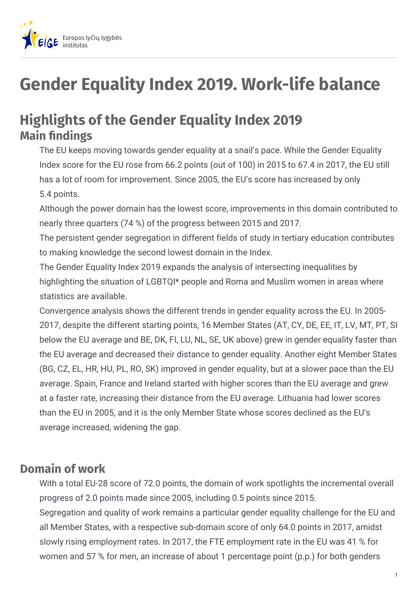

# **Gender Equality Index 2019. Work-life balance**

# **Highlights of the Gender Equality Index 2019 Main findings**

The EU keeps moving towards gender equality at a snail's pace. While the Gender Equality Index score for the EU rose from 66.2 points (out of 100) in 2015 to 67.4 in 2017, the EU still has a lot of room for improvement. Since 2005, the EU's score has increased by only 5.4 points.

Although the power domain has the lowest score, improvements in this domain contributed to nearly three quarters (74 %) of the progress between 2015 and 2017.

The persistent gender segregation in different fields of study in tertiary education contributes to making knowledge the second lowest domain in the Index.

The Gender Equality Index 2019 expands the analysis of intersecting inequalities by highlighting the situation of LGBTQI\* people and Roma and Muslim women in areas where statistics are available.

Convergence analysis shows the different trends in gender equality across the EU. In 2005- 2017, despite the different starting points, 16 Member States (AT, CY, DE, EE, IT, LV, MT, PT, SI below the EU average and BE, DK, FI, LU, NL, SE, UK above) grew in gender equality faster than the EU average and decreased their distance to gender equality. Another eight Member States (BG, CZ, EL, HR, HU, PL, RO, SK) improved in gender equality, but at a slower pace than the EU average. Spain, France and Ireland started with higher scores than the EU average and grew at a faster rate, increasing their distance from the EU average. Lithuania had lower scores than the EU in 2005, and it is the only Member State whose scores declined as the EU's average increased, widening the gap.

#### **Domain of work**

With a total EU-28 score of 72.0 points, the domain of work spotlights the incremental overall progress of 2.0 points made since 2005, including 0.5 points since 2015. Segregation and quality of work remains a particular gender equality challenge for the EU and all Member States, with a respective sub-domain score of only 64.0 points in 2017, amidst slowly rising employment rates. In 2017, the FTE employment rate in the EU was 41 % for women and 57 % for men, an increase of about 1 percentage point (p.p.) for both genders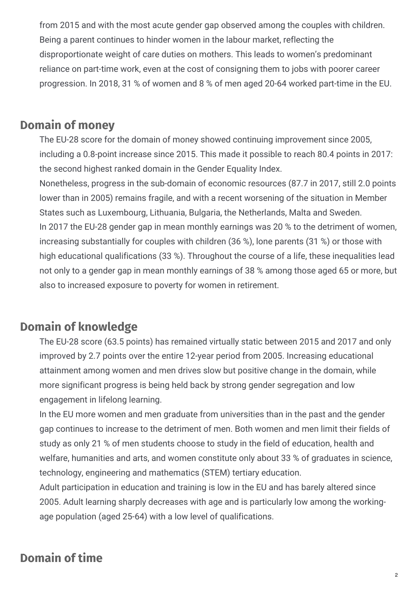from 2015 and with the most acute gender gap observed among the couples with children. Being a parent continues to hinder women in the labour market, reflecting the disproportionate weight of care duties on mothers. This leads to women's predominant reliance on part-time work, even at the cost of consigning them to jobs with poorer career progression. In 2018, 31 % of women and 8 % of men aged 20-64 worked part-time in the EU.

#### **Domain of money**

The EU-28 score for the domain of money showed continuing improvement since 2005, including a 0.8-point increase since 2015. This made it possible to reach 80.4 points in 2017: the second highest ranked domain in the Gender Equality Index.

Nonetheless, progress in the sub-domain of economic resources (87.7 in 2017, still 2.0 points lower than in 2005) remains fragile, and with a recent worsening of the situation in Member States such as Luxembourg, Lithuania, Bulgaria, the Netherlands, Malta and Sweden. In 2017 the EU-28 gender gap in mean monthly earnings was 20 % to the detriment of women, increasing substantially for couples with children (36 %), lone parents (31 %) or those with high educational qualifications (33 %). Throughout the course of a life, these inequalities lead not only to a gender gap in mean monthly earnings of 38 % among those aged 65 or more, but also to increased exposure to poverty for women in retirement.

## **Domain of knowledge**

The EU-28 score (63.5 points) has remained virtually static between 2015 and 2017 and only improved by 2.7 points over the entire 12-year period from 2005. Increasing educational attainment among women and men drives slow but positive change in the domain, while more significant progress is being held back by strong gender segregation and low engagement in lifelong learning.

In the EU more women and men graduate from universities than in the past and the gender gap continues to increase to the detriment of men. Both women and men limit their fields of study as only 21 % of men students choose to study in the field of education, health and welfare, humanities and arts, and women constitute only about 33 % of graduates in science, technology, engineering and mathematics (STEM) tertiary education.

Adult participation in education and training is low in the EU and has barely altered since 2005. Adult learning sharply decreases with age and is particularly low among the workingage population (aged 25-64) with a low level of qualifications.

#### **Domain of time**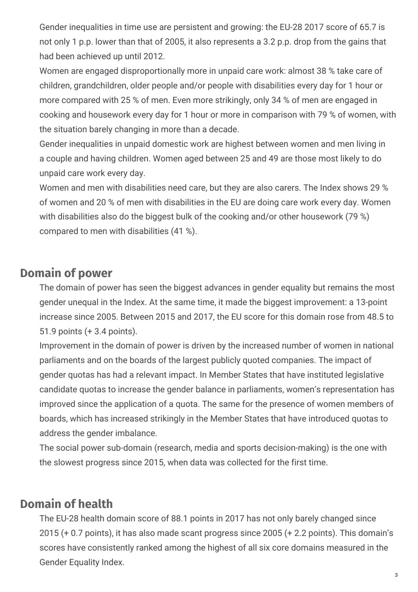Gender inequalities in time use are persistent and growing: the EU-28 2017 score of 65.7 is not only 1 p.p. lower than that of 2005, it also represents a 3.2 p.p. drop from the gains that had been achieved up until 2012.

Women are engaged disproportionally more in unpaid care work: almost 38 % take care of children, grandchildren, older people and/or people with disabilities every day for 1 hour or more compared with 25 % of men. Even more strikingly, only 34 % of men are engaged in cooking and housework every day for 1 hour or more in comparison with 79 % of women, with the situation barely changing in more than a decade.

Gender inequalities in unpaid domestic work are highest between women and men living in a couple and having children. Women aged between 25 and 49 are those most likely to do unpaid care work every day.

Women and men with disabilities need care, but they are also carers. The Index shows 29 % of women and 20 % of men with disabilities in the EU are doing care work every day. Women with disabilities also do the biggest bulk of the cooking and/or other housework (79 %) compared to men with disabilities (41 %).

#### **Domain of power**

The domain of power has seen the biggest advances in gender equality but remains the most gender unequal in the Index. At the same time, it made the biggest improvement: a 13-point increase since 2005. Between 2015 and 2017, the EU score for this domain rose from 48.5 to 51.9 points (+ 3.4 points).

Improvement in the domain of power is driven by the increased number of women in national parliaments and on the boards of the largest publicly quoted companies. The impact of gender quotas has had a relevant impact. In Member States that have instituted legislative candidate quotas to increase the gender balance in parliaments, women's representation has improved since the application of a quota. The same for the presence of women members of boards, which has increased strikingly in the Member States that have introduced quotas to address the gender imbalance.

The social power sub-domain (research, media and sports decision-making) is the one with the slowest progress since 2015, when data was collected for the first time.

#### **Domain of health**

The EU-28 health domain score of 88.1 points in 2017 has not only barely changed since 2015 (+ 0.7 points), it has also made scant progress since 2005 (+ 2.2 points). This domain's scores have consistently ranked among the highest of all six core domains measured in the Gender Equality Index.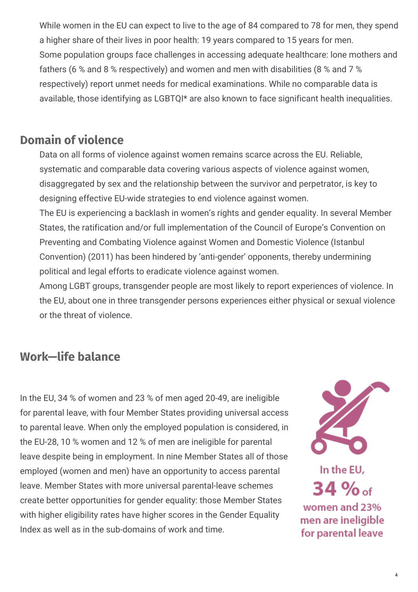While women in the EU can expect to live to the age of 84 compared to 78 for men, they spend a higher share of their lives in poor health: 19 years compared to 15 years for men. Some population groups face challenges in accessing adequate healthcare: lone mothers and fathers (6 % and 8 % respectively) and women and men with disabilities (8 % and 7 % respectively) report unmet needs for medical examinations. While no comparable data is available, those identifying as LGBTQI\* are also known to face significant health inequalities.

#### **Domain of violence**

Data on all forms of violence against women remains scarce across the EU. Reliable, systematic and comparable data covering various aspects of violence against women, disaggregated by sex and the relationship between the survivor and perpetrator, is key to designing effective EU-wide strategies to end violence against women.

The EU is experiencing a backlash in women's rights and gender equality. In several Member States, the ratification and/or full implementation of the Council of Europe's Convention on Preventing and Combating Violence against Women and Domestic Violence (Istanbul Convention) (2011) has been hindered by 'anti-gender' opponents, thereby undermining political and legal efforts to eradicate violence against women.

Among LGBT groups, transgender people are most likely to report experiences of violence. In the EU, about one in three transgender persons experiences either physical or sexual violence or the threat of violence.

## **Work—life balance**

In the EU, 34 % of women and 23 % of men aged 20-49, are ineligible for parental leave, with four Member States providing universal access to parental leave. When only the employed population is considered, in the EU-28, 10 % women and 12 % of men are ineligible for parental leave despite being in employment. In nine Member States all of those employed (women and men) have an opportunity to access parental leave. Member States with more universal parental-leave schemes create better opportunities for gender equality: those Member States with higher eligibility rates have higher scores in the Gender Equality Index as well as in the sub-domains of work and time.



In the EU, 34 % of women and 23% men are ineligible for parental leave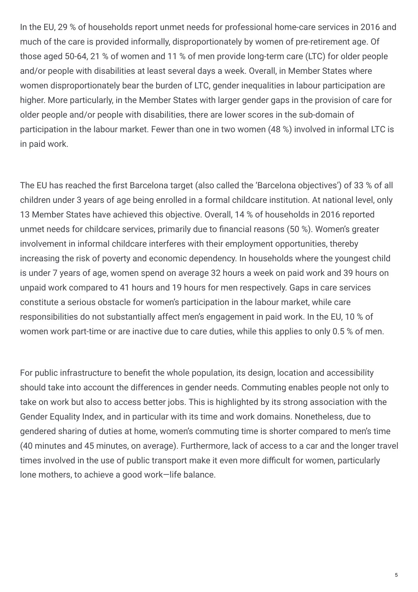In the EU, 29 % of households report unmet needs for professional home-care services in 2016 and much of the care is provided informally, disproportionately by women of pre-retirement age. Of those aged 50-64, 21 % of women and 11 % of men provide long-term care (LTC) for older people and/or people with disabilities at least several days a week. Overall, in Member States where women disproportionately bear the burden of LTC, gender inequalities in labour participation are higher. More particularly, in the Member States with larger gender gaps in the provision of care for older people and/or people with disabilities, there are lower scores in the sub-domain of participation in the labour market. Fewer than one in two women (48 %) involved in informal LTC is in paid work.

The EU has reached the first Barcelona target (also called the 'Barcelona objectives') of 33 % of all children under 3 years of age being enrolled in a formal childcare institution. At national level, only 13 Member States have achieved this objective. Overall, 14 % of households in 2016 reported unmet needs for childcare services, primarily due to financial reasons (50 %). Women's greater involvement in informal childcare interferes with their employment opportunities, thereby increasing the risk of poverty and economic dependency. In households where the youngest child is under 7 years of age, women spend on average 32 hours a week on paid work and 39 hours on unpaid work compared to 41 hours and 19 hours for men respectively. Gaps in care services constitute a serious obstacle for women's participation in the labour market, while care responsibilities do not substantially affect men's engagement in paid work. In the EU, 10 % of women work part-time or are inactive due to care duties, while this applies to only 0.5 % of men.

For public infrastructure to benefit the whole population, its design, location and accessibility should take into account the differences in gender needs. Commuting enables people not only to take on work but also to access better jobs. This is highlighted by its strong association with the Gender Equality Index, and in particular with its time and work domains. Nonetheless, due to gendered sharing of duties at home, women's commuting time is shorter compared to men's time (40 minutes and 45 minutes, on average). Furthermore, lack of access to a car and the longer travel times involved in the use of public transport make it even more difficult for women, particularly lone mothers, to achieve a good work—life balance.